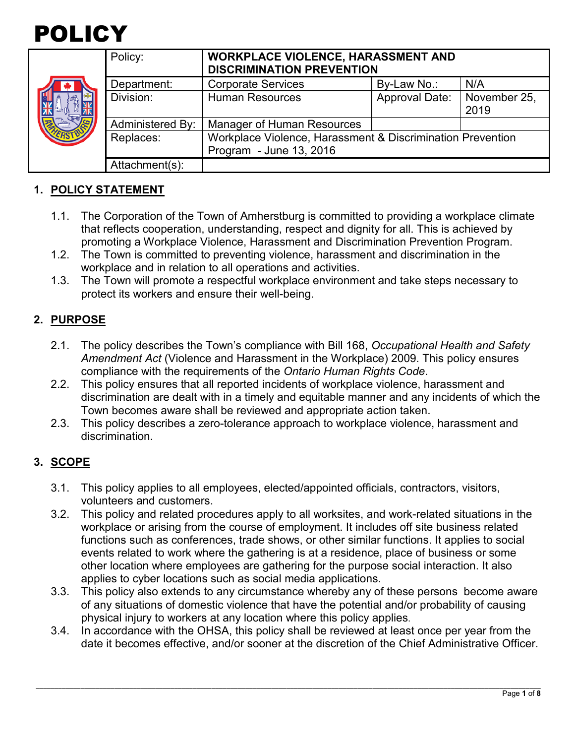

|  | Policy:                 | <b>WORKPLACE VIOLENCE, HARASSMENT AND</b><br><b>DISCRIMINATION PREVENTION</b> |                       |                      |
|--|-------------------------|-------------------------------------------------------------------------------|-----------------------|----------------------|
|  | Department:             | <b>Corporate Services</b>                                                     | By-Law No.:           | N/A                  |
|  | Division:               | <b>Human Resources</b>                                                        | <b>Approval Date:</b> | November 25,<br>2019 |
|  | <b>Administered By:</b> | Manager of Human Resources                                                    |                       |                      |
|  | Replaces:               | Workplace Violence, Harassment & Discrimination Prevention                    |                       |                      |
|  |                         | Program - June 13, 2016                                                       |                       |                      |
|  | Attachment(s):          |                                                                               |                       |                      |

### **1. POLICY STATEMENT**

- 1.1. The Corporation of the Town of Amherstburg is committed to providing a workplace climate that reflects cooperation, understanding, respect and dignity for all. This is achieved by promoting a Workplace Violence, Harassment and Discrimination Prevention Program.
- 1.2. The Town is committed to preventing violence, harassment and discrimination in the workplace and in relation to all operations and activities.
- 1.3. The Town will promote a respectful workplace environment and take steps necessary to protect its workers and ensure their well-being.

### **2. PURPOSE**

- 2.1. The policy describes the Town's compliance with Bill 168, *Occupational Health and Safety Amendment Act* (Violence and Harassment in the Workplace) 2009. This policy ensures compliance with the requirements of the *Ontario Human Rights Code*.
- 2.2. This policy ensures that all reported incidents of workplace violence, harassment and discrimination are dealt with in a timely and equitable manner and any incidents of which the Town becomes aware shall be reviewed and appropriate action taken.
- 2.3. This policy describes a zero-tolerance approach to workplace violence, harassment and discrimination.

### **3. SCOPE**

- 3.1. This policy applies to all employees, elected/appointed officials, contractors, visitors, volunteers and customers.
- 3.2. This policy and related procedures apply to all worksites, and work-related situations in the workplace or arising from the course of employment. It includes off site business related functions such as conferences, trade shows, or other similar functions. It applies to social events related to work where the gathering is at a residence, place of business or some other location where employees are gathering for the purpose social interaction. It also applies to cyber locations such as social media applications.
- 3.3. This policy also extends to any circumstance whereby any of these persons become aware of any situations of domestic violence that have the potential and/or probability of causing physical injury to workers at any location where this policy applies.
- 3.4. In accordance with the OHSA, this policy shall be reviewed at least once per year from the date it becomes effective, and/or sooner at the discretion of the Chief Administrative Officer.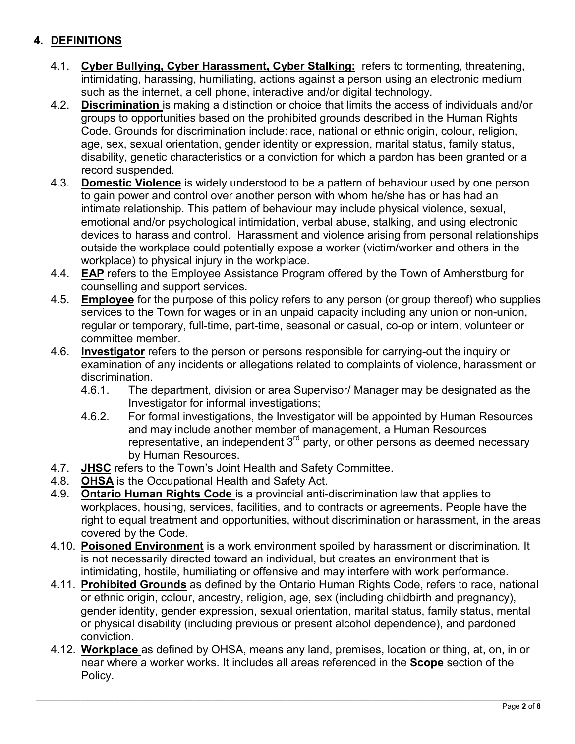# **4. DEFINITIONS**

- 4.1. **Cyber Bullying, Cyber Harassment, Cyber Stalking:** refers to tormenting, threatening, intimidating, harassing, humiliating, actions against a person using an electronic medium such as the internet, a cell phone, interactive and/or digital technology.
- 4.2. **Discrimination** is making a distinction or choice that limits the access of individuals and/or groups to opportunities based on the prohibited grounds described in the Human Rights Code. Grounds for discrimination include: race, national or ethnic origin, colour, religion, age, sex, sexual orientation, gender identity or expression, marital status, family status, disability, genetic characteristics or a conviction for which a pardon has been granted or a record suspended.
- 4.3. **Domestic Violence** is widely understood to be a pattern of behaviour used by one person to gain power and control over another person with whom he/she has or has had an intimate relationship. This pattern of behaviour may include physical violence, sexual, emotional and/or psychological intimidation, verbal abuse, stalking, and using electronic devices to harass and control. Harassment and violence arising from personal relationships outside the workplace could potentially expose a worker (victim/worker and others in the workplace) to physical injury in the workplace.
- 4.4. **EAP** refers to the Employee Assistance Program offered by the Town of Amherstburg for counselling and support services.
- 4.5. **Employee** for the purpose of this policy refers to any person (or group thereof) who supplies services to the Town for wages or in an unpaid capacity including any union or non-union, regular or temporary, full-time, part-time, seasonal or casual, co-op or intern, volunteer or committee member.
- 4.6. **Investigator** refers to the person or persons responsible for carrying-out the inquiry or examination of any incidents or allegations related to complaints of violence, harassment or discrimination.
	- 4.6.1. The department, division or area Supervisor/ Manager may be designated as the Investigator for informal investigations;
	- 4.6.2. For formal investigations, the Investigator will be appointed by Human Resources and may include another member of management, a Human Resources representative, an independent  $3<sup>rd</sup>$  party, or other persons as deemed necessary by Human Resources.
- 4.7. JHSC refers to the Town's Joint Health and Safety Committee.<br>4.8. OHSA is the Occupational Health and Safety Act.
- **OHSA** is the Occupational Health and Safety Act.
- 4.9. **Ontario Human Rights Code** is a provincial anti-discrimination law that applies to workplaces, housing, services, facilities, and to contracts or agreements. People have the right to equal treatment and opportunities, without discrimination or harassment, in the areas covered by the Code.
- 4.10. **Poisoned Environment** is a work environment spoiled by harassment or discrimination. It is not necessarily directed toward an individual, but creates an environment that is intimidating, hostile, humiliating or offensive and may interfere with work performance.
- 4.11. **Prohibited Grounds** as defined by the Ontario Human Rights Code, refers to race, national or ethnic origin, colour, ancestry, religion, age, sex (including childbirth and pregnancy), gender identity, gender expression, sexual orientation, marital status, family status, mental or physical disability (including previous or present alcohol dependence), and pardoned conviction.
- 4.12. **Workplace** as defined by OHSA, means any land, premises, location or thing, at, on, in or near where a worker works. It includes all areas referenced in the **Scope** section of the Policy.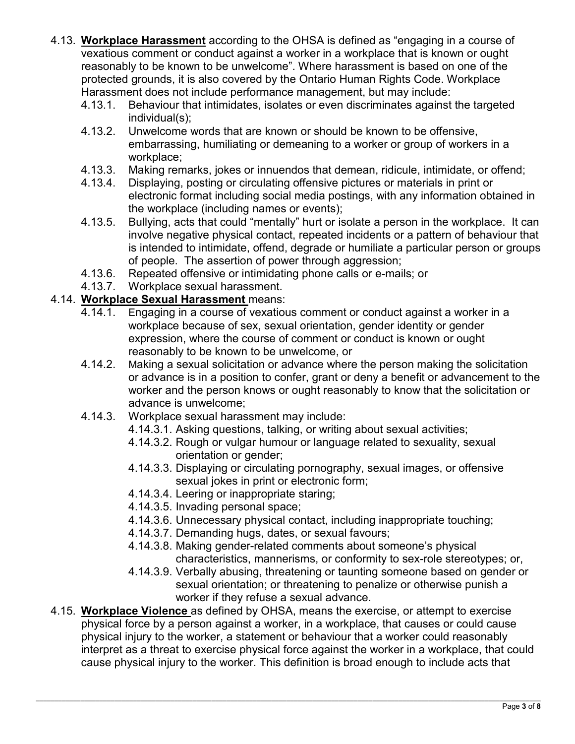- 4.13. **Workplace Harassment** according to the OHSA is defined as "engaging in a course of vexatious comment or conduct against a worker in a workplace that is known or ought reasonably to be known to be unwelcome". Where harassment is based on one of the protected grounds, it is also covered by the Ontario Human Rights Code. Workplace Harassment does not include performance management, but may include:
	- 4.13.1. Behaviour that intimidates, isolates or even discriminates against the targeted individual(s);
	- 4.13.2. Unwelcome words that are known or should be known to be offensive, embarrassing, humiliating or demeaning to a worker or group of workers in a workplace;
	- 4.13.3. Making remarks, jokes or innuendos that demean, ridicule, intimidate, or offend;
	- 4.13.4. Displaying, posting or circulating offensive pictures or materials in print or electronic format including social media postings, with any information obtained in the workplace (including names or events);
	- 4.13.5. Bullying, acts that could "mentally" hurt or isolate a person in the workplace. It can involve negative physical contact, repeated incidents or a pattern of behaviour that is intended to intimidate, offend, degrade or humiliate a particular person or groups of people. The assertion of power through aggression;
	- 4.13.6. Repeated offensive or intimidating phone calls or e-mails; or
	- 4.13.7. Workplace sexual harassment.

### 4.14. **Workplace Sexual Harassment** means:

- 4.14.1. Engaging in a course of vexatious comment or conduct against a worker in a workplace because of sex, sexual orientation, gender identity or gender expression, where the course of comment or conduct is known or ought reasonably to be known to be unwelcome, or
- 4.14.2. Making a sexual solicitation or advance where the person making the solicitation or advance is in a position to confer, grant or deny a benefit or advancement to the worker and the person knows or ought reasonably to know that the solicitation or advance is unwelcome;
- 4.14.3. Workplace sexual harassment may include:
	- 4.14.3.1. Asking questions, talking, or writing about sexual activities;
	- 4.14.3.2. Rough or vulgar humour or language related to sexuality, sexual orientation or gender;
	- 4.14.3.3. Displaying or circulating pornography, sexual images, or offensive sexual jokes in print or electronic form;
	- 4.14.3.4. Leering or inappropriate staring;
	- 4.14.3.5. Invading personal space;
	- 4.14.3.6. Unnecessary physical contact, including inappropriate touching;
	- 4.14.3.7. Demanding hugs, dates, or sexual favours;
	- 4.14.3.8. Making gender-related comments about someone's physical characteristics, mannerisms, or conformity to sex-role stereotypes; or,
	- 4.14.3.9. Verbally abusing, threatening or taunting someone based on gender or sexual orientation; or threatening to penalize or otherwise punish a worker if they refuse a sexual advance.
- 4.15. **Workplace Violence** as defined by OHSA, means the exercise, or attempt to exercise physical force by a person against a worker, in a workplace, that causes or could cause physical injury to the worker, a statement or behaviour that a worker could reasonably interpret as a threat to exercise physical force against the worker in a workplace, that could cause physical injury to the worker. This definition is broad enough to include acts that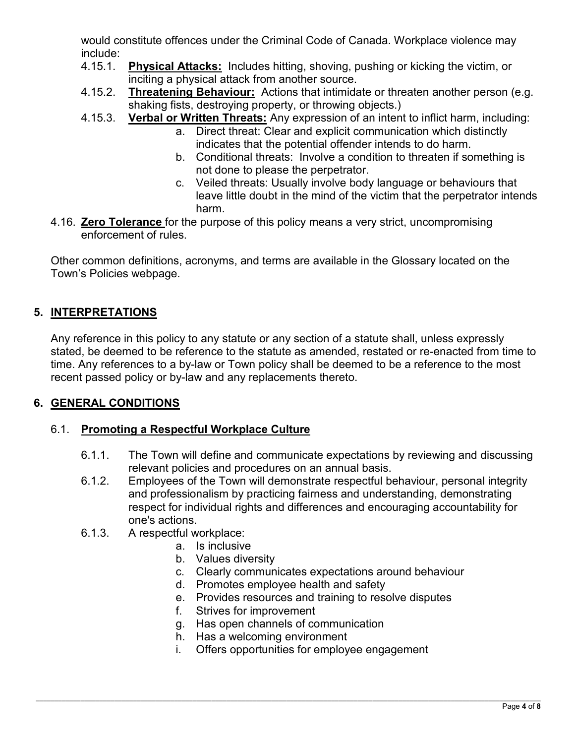would constitute offences under the Criminal Code of Canada. Workplace violence may include:

- 4.15.1. **Physical Attacks:** Includes hitting, shoving, pushing or kicking the victim, or inciting a physical attack from another source.
- 4.15.2. **Threatening Behaviour:** Actions that intimidate or threaten another person (e.g. shaking fists, destroying property, or throwing objects.)
- 4.15.3. **Verbal or Written Threats:** Any expression of an intent to inflict harm, including:
	- a. Direct threat: Clear and explicit communication which distinctly indicates that the potential offender intends to do harm.
	- b. Conditional threats: Involve a condition to threaten if something is not done to please the perpetrator.
	- c. Veiled threats: Usually involve body language or behaviours that leave little doubt in the mind of the victim that the perpetrator intends harm.
- 4.16. **Zero Tolerance** for the purpose of this policy means a very strict, uncompromising enforcement of rules.

Other common definitions, acronyms, and terms are available in the Glossary located on the Town's Policies webpage.

# **5. INTERPRETATIONS**

Any reference in this policy to any statute or any section of a statute shall, unless expressly stated, be deemed to be reference to the statute as amended, restated or re-enacted from time to time. Any references to a by-law or Town policy shall be deemed to be a reference to the most recent passed policy or by-law and any replacements thereto.

# **6. GENERAL CONDITIONS**

# 6.1. **Promoting a Respectful Workplace Culture**

- 6.1.1. The Town will define and communicate expectations by reviewing and discussing relevant policies and procedures on an annual basis.
- 6.1.2. Employees of the Town will demonstrate respectful behaviour, personal integrity and professionalism by practicing fairness and understanding, demonstrating respect for individual rights and differences and encouraging accountability for one's actions.
- 6.1.3. A respectful workplace:
	- a. Is inclusive
	- b. Values diversity
	- c. Clearly communicates expectations around behaviour
	- d. Promotes employee health and safety
	- e. Provides resources and training to resolve disputes
	- f. Strives for improvement
	- g. Has open channels of communication
	- h. Has a welcoming environment
	- i. Offers opportunities for employee engagement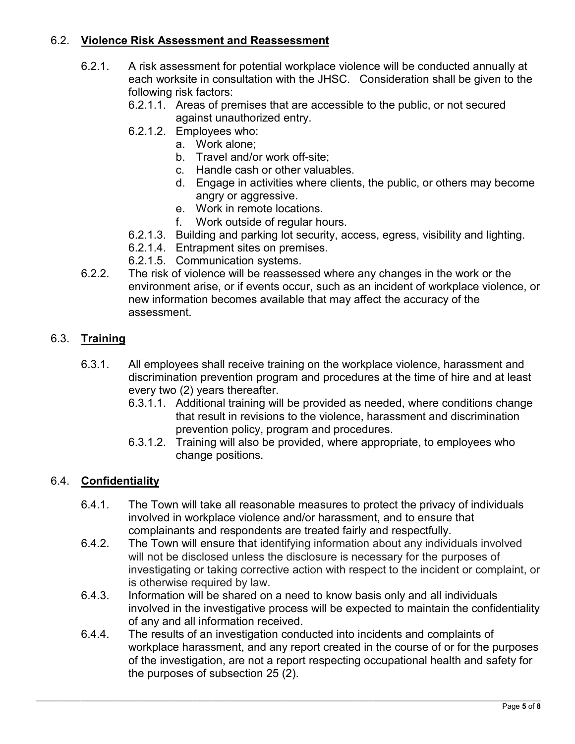### 6.2. **Violence Risk Assessment and Reassessment**

- 6.2.1. A risk assessment for potential workplace violence will be conducted annually at each worksite in consultation with the JHSC. Consideration shall be given to the following risk factors:
	- 6.2.1.1. Areas of premises that are accessible to the public, or not secured against unauthorized entry.
	- 6.2.1.2. Employees who:
		- a. Work alone;
		- b. Travel and/or work off-site;
		- c. Handle cash or other valuables.
		- d. Engage in activities where clients, the public, or others may become angry or aggressive.
		- e. Work in remote locations.
		- f. Work outside of regular hours.
	- 6.2.1.3. Building and parking lot security, access, egress, visibility and lighting.
	- 6.2.1.4. Entrapment sites on premises.
	- 6.2.1.5. Communication systems.
- 6.2.2. The risk of violence will be reassessed where any changes in the work or the environment arise, or if events occur, such as an incident of workplace violence, or new information becomes available that may affect the accuracy of the assessment.

### 6.3. **Training**

- 6.3.1. All employees shall receive training on the workplace violence, harassment and discrimination prevention program and procedures at the time of hire and at least every two (2) years thereafter.
	- 6.3.1.1. Additional training will be provided as needed, where conditions change that result in revisions to the violence, harassment and discrimination prevention policy, program and procedures.
	- 6.3.1.2. Training will also be provided, where appropriate, to employees who change positions.

### 6.4. **Confidentiality**

- 6.4.1. The Town will take all reasonable measures to protect the privacy of individuals involved in workplace violence and/or harassment, and to ensure that complainants and respondents are treated fairly and respectfully.
- 6.4.2. The Town will ensure that identifying information about any individuals involved will not be disclosed unless the disclosure is necessary for the purposes of investigating or taking corrective action with respect to the incident or complaint, or is otherwise required by law.
- 6.4.3. Information will be shared on a need to know basis only and all individuals involved in the investigative process will be expected to maintain the confidentiality of any and all information received.
- 6.4.4. The results of an investigation conducted into incidents and complaints of workplace harassment, and any report created in the course of or for the purposes of the investigation, are not a report respecting occupational health and safety for the purposes of subsection 25 (2).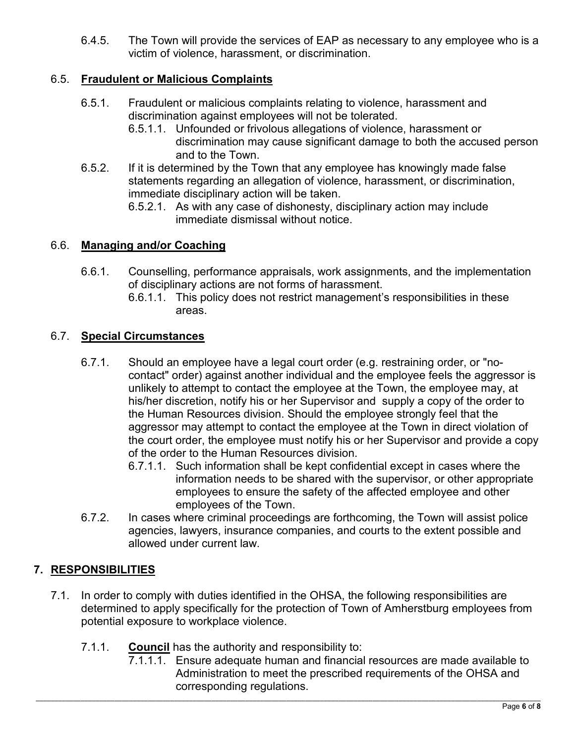6.4.5. The Town will provide the services of EAP as necessary to any employee who is a victim of violence, harassment, or discrimination.

### 6.5. **Fraudulent or Malicious Complaints**

- 6.5.1. Fraudulent or malicious complaints relating to violence, harassment and discrimination against employees will not be tolerated.
	- 6.5.1.1. Unfounded or frivolous allegations of violence, harassment or discrimination may cause significant damage to both the accused person and to the Town.
- 6.5.2. If it is determined by the Town that any employee has knowingly made false statements regarding an allegation of violence, harassment, or discrimination, immediate disciplinary action will be taken.
	- 6.5.2.1. As with any case of dishonesty, disciplinary action may include immediate dismissal without notice.

### 6.6. **Managing and/or Coaching**

- 6.6.1. Counselling, performance appraisals, work assignments, and the implementation of disciplinary actions are not forms of harassment.
	- 6.6.1.1. This policy does not restrict management's responsibilities in these areas.

### 6.7. **Special Circumstances**

- 6.7.1. Should an employee have a legal court order (e.g. restraining order, or "nocontact" order) against another individual and the employee feels the aggressor is unlikely to attempt to contact the employee at the Town, the employee may, at his/her discretion, notify his or her Supervisor and supply a copy of the order to the Human Resources division. Should the employee strongly feel that the aggressor may attempt to contact the employee at the Town in direct violation of the court order, the employee must notify his or her Supervisor and provide a copy of the order to the Human Resources division.
	- 6.7.1.1. Such information shall be kept confidential except in cases where the information needs to be shared with the supervisor, or other appropriate employees to ensure the safety of the affected employee and other employees of the Town.
- 6.7.2. In cases where criminal proceedings are forthcoming, the Town will assist police agencies, lawyers, insurance companies, and courts to the extent possible and allowed under current law.

# **7. RESPONSIBILITIES**

- 7.1. In order to comply with duties identified in the OHSA, the following responsibilities are determined to apply specifically for the protection of Town of Amherstburg employees from potential exposure to workplace violence.
	- 7.1.1. **Council** has the authority and responsibility to:
		- 7.1.1.1. Ensure adequate human and financial resources are made available to Administration to meet the prescribed requirements of the OHSA and corresponding regulations.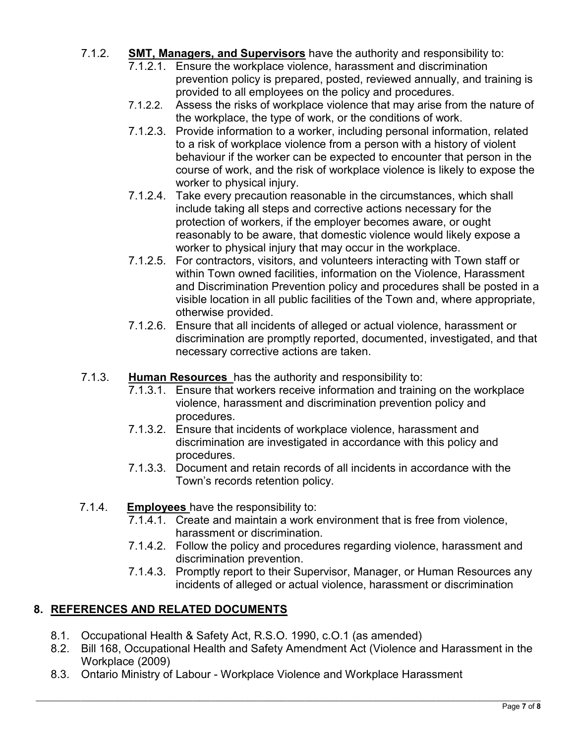- 7.1.2. **SMT, Managers, and Supervisors** have the authority and responsibility to:
	- 7.1.2.1. Ensure the workplace violence, harassment and discrimination prevention policy is prepared, posted, reviewed annually, and training is provided to all employees on the policy and procedures.
	- 7.1.2.2. Assess the risks of workplace violence that may arise from the nature of the workplace, the type of work, or the conditions of work.
	- 7.1.2.3. Provide information to a worker, including personal information, related to a risk of workplace violence from a person with a history of violent behaviour if the worker can be expected to encounter that person in the course of work, and the risk of workplace violence is likely to expose the worker to physical injury.
	- 7.1.2.4. Take every precaution reasonable in the circumstances, which shall include taking all steps and corrective actions necessary for the protection of workers, if the employer becomes aware, or ought reasonably to be aware, that domestic violence would likely expose a worker to physical injury that may occur in the workplace.
	- 7.1.2.5. For contractors, visitors, and volunteers interacting with Town staff or within Town owned facilities, information on the Violence, Harassment and Discrimination Prevention policy and procedures shall be posted in a visible location in all public facilities of the Town and, where appropriate, otherwise provided.
	- 7.1.2.6. Ensure that all incidents of alleged or actual violence, harassment or discrimination are promptly reported, documented, investigated, and that necessary corrective actions are taken.
- 7.1.3. **Human Resources** has the authority and responsibility to:
	- 7.1.3.1. Ensure that workers receive information and training on the workplace violence, harassment and discrimination prevention policy and procedures.
	- 7.1.3.2. Ensure that incidents of workplace violence, harassment and discrimination are investigated in accordance with this policy and procedures.
	- 7.1.3.3. Document and retain records of all incidents in accordance with the Town's records retention policy.
- 7.1.4. **Employees** have the responsibility to:
	- 7.1.4.1. Create and maintain a work environment that is free from violence, harassment or discrimination.
	- 7.1.4.2. Follow the policy and procedures regarding violence, harassment and discrimination prevention.
	- 7.1.4.3. Promptly report to their Supervisor, Manager, or Human Resources any incidents of alleged or actual violence, harassment or discrimination

# **8. REFERENCES AND RELATED DOCUMENTS**

- 8.1. Occupational Health & Safety Act, R.S.O. 1990, c.O.1 (as amended)
- 8.2. Bill 168, Occupational Health and Safety Amendment Act (Violence and Harassment in the Workplace (2009)
- 8.3. Ontario Ministry of Labour Workplace Violence and Workplace Harassment